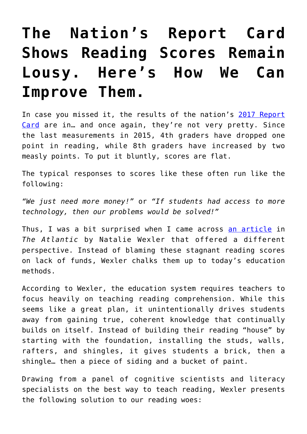## **[The Nation's Report Card](https://intellectualtakeout.org/2018/04/the-nations-report-card-shows-reading-scores-remain-lousy-heres-how-we-can-improve-them/) [Shows Reading Scores Remain](https://intellectualtakeout.org/2018/04/the-nations-report-card-shows-reading-scores-remain-lousy-heres-how-we-can-improve-them/) [Lousy. Here's How We Can](https://intellectualtakeout.org/2018/04/the-nations-report-card-shows-reading-scores-remain-lousy-heres-how-we-can-improve-them/) [Improve Them.](https://intellectualtakeout.org/2018/04/the-nations-report-card-shows-reading-scores-remain-lousy-heres-how-we-can-improve-them/)**

In case you missed it, the results of the nation's [2017 Report](https://www.nationsreportcard.gov/reading_math_2017_highlights/) [Card](https://www.nationsreportcard.gov/reading_math_2017_highlights/) are in… and once again, they're not very pretty. Since the last measurements in 2015, 4th graders have dropped one point in reading, while 8th graders have increased by two measly points. To put it bluntly, scores are flat.

The typical responses to scores like these often run like the following:

*"We just need more money!"* or *"If students had access to more technology, then our problems would be solved!"*

Thus, I was a bit surprised when I came across [an article](https://www.theatlantic.com/education/archive/2018/04/-american-students-reading/557915/?utm_source=feed) in *The Atlantic* by Natalie Wexler that offered a different perspective. Instead of blaming these stagnant reading scores on lack of funds, Wexler chalks them up to today's education methods.

According to Wexler, the education system requires teachers to focus heavily on teaching reading comprehension. While this seems like a great plan, it unintentionally drives students away from gaining true, coherent knowledge that continually builds on itself. Instead of building their reading "house" by starting with the foundation, installing the studs, walls, rafters, and shingles, it gives students a brick, then a shingle… then a piece of siding and a bucket of paint.

Drawing from a panel of cognitive scientists and literacy specialists on the best way to teach reading, Wexler presents the following solution to our reading woes: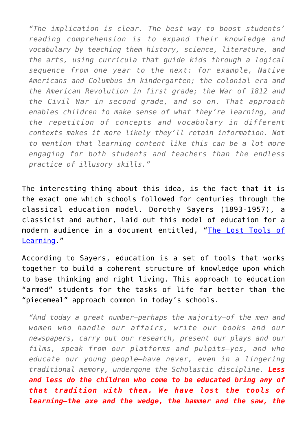*"The implication is clear. The best way to boost students' reading comprehension is to expand their knowledge and vocabulary by teaching them history, science, literature, and the arts, using curricula that guide kids through a logical sequence from one year to the next: for example, Native Americans and Columbus in kindergarten; the colonial era and the American Revolution in first grade; the War of 1812 and the Civil War in second grade, and so on. That approach enables children to make sense of what they're learning, and the repetition of concepts and vocabulary in different contexts makes it more likely they'll retain information. Not to mention that learning content like this can be a lot more engaging for both students and teachers than the endless practice of illusory skills."*

The interesting thing about this idea, is the fact that it is the exact one which schools followed for centuries through the classical education model. Dorothy Sayers (1893-1957), a classicist and author, laid out this model of education for a modern audience in a document entitled, "[The Lost Tools of](http://www.gbt.org/text/sayers.html) [Learning.](http://www.gbt.org/text/sayers.html)"

According to Sayers, education is a set of tools that works together to build a coherent structure of knowledge upon which to base thinking and right living. This approach to education "armed" students for the tasks of life far better than the "piecemeal" approach common in today's schools.

*"And today a great number–perhaps the majority–of the men and women who handle our affairs, write our books and our newspapers, carry out our research, present our plays and our films, speak from our platforms and pulpits–yes, and who educate our young people–have never, even in a lingering traditional memory, undergone the Scholastic discipline. Less and less do the children who come to be educated bring any of that tradition with them. We have lost the tools of learning–the axe and the wedge, the hammer and the saw, the*